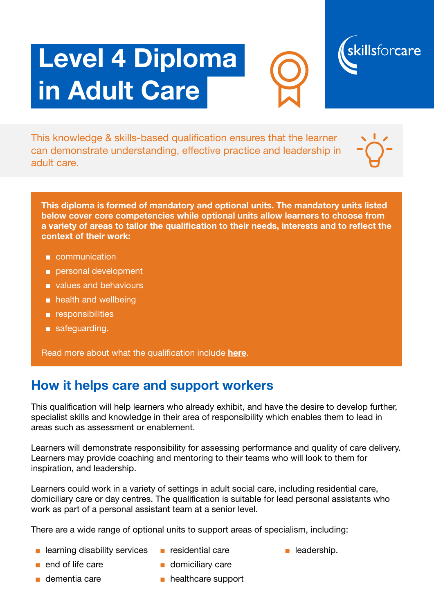# Level 4 Diploma in Adult Care





This knowledge & skills-based qualification ensures that the learner can demonstrate understanding, effective practice and leadership in adult care.



This diploma is formed of mandatory and optional units. The mandatory units listed below cover core competencies while optional units allow learners to choose from a variety of areas to tailor the qualification to their needs, interests and to reflect the context of their work:

- communication
- personal development
- values and behaviours
- health and wellbeing
- responsibilities
- safeguarding.

Read more about what the qualification include [here](https://www.skillsforcare.org.uk/Documents/Learning-and-development/Qualifications/New-Quals-framework/Specification-for-Level-4-Diploma-in-Adult-Care.pdf).

#### How it helps care and support workers

This qualification will help learners who already exhibit, and have the desire to develop further, specialist skills and knowledge in their area of responsibility which enables them to lead in areas such as assessment or enablement.

Learners will demonstrate responsibility for assessing performance and quality of care delivery. Learners may provide coaching and mentoring to their teams who will look to them for inspiration, and leadership.

Learners could work in a variety of settings in adult social care, including residential care, domiciliary care or day centres. The qualification is suitable for lead personal assistants who work as part of a personal assistant team at a senior level.

There are a wide range of optional units to support areas of specialism, including:

- learning disability services
- residential care
- leadership.

- end of life care
- dementia care
- domiciliary care
- healthcare support